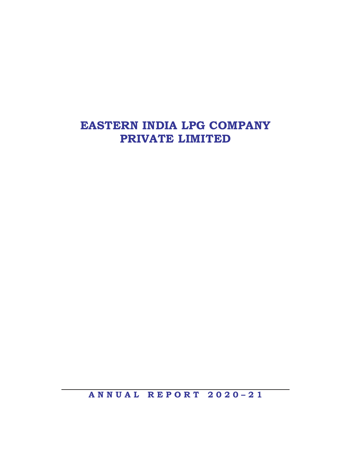A N N U A L R E P O R T 2 0 2 0 – 2 1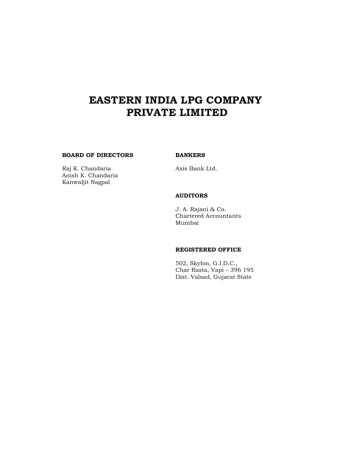## BOARD OF DIRECTORS BANKERS

Raj K. Chandaria **Axis Bank Ltd.** Anish K. Chandaria Kanwaljit Nagpal

## AUDITORS

 J. A. Rajani & Co. Chartered Accountants Mumbai

## REGISTERED OFFICE

502, Skylon, G.I.D.C., Char Rasta, Vapi – 396 195 Dist. Valsad, Gujarat State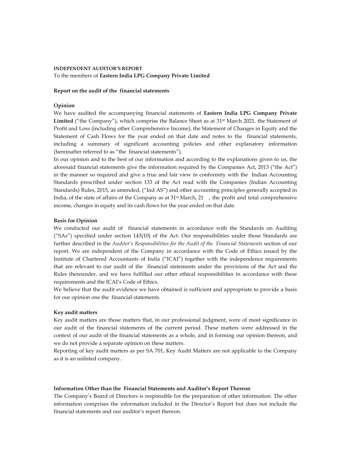## INDEPENDENT AUDITOR'S REPORT To the members of Eastern India LPG Company Private Limited

## Report on the audit of the financial statements

## Opinion

We have audited the accompanying financial statements of Eastern India LPG Company Private Limited ("the Company"), which comprise the Balance Sheet as at  $31<sup>st</sup>$  March 2021, the Statement of Profit and Loss (including other Comprehensive Income), the Statement of Changes in Equity and the Statement of Cash Flows for the year ended on that date and notes to the financial statements, including a summary of significant accounting policies and other explanatory information (hereinafter referred to as "the financial statements").

In our opinion and to the best of our information and according to the explanations given to us, the aforesaid financial statements give the information required by the Companies Act, 2013 ("the Act") in the manner so required and give a true and fair view in conformity with the Indian Accounting Standards prescribed under section 133 of the Act read with the Companies (Indian Accounting Standards) Rules, 2015, as amended, ("Ind AS") and other accounting principles generally accepted in India, of the state of affairs of the Company as at 31st March, 21 , the profit and total comprehensive income, changes in equity and its cash flows for the year ended on that date.

## Basis for Opinion

We conducted our audit of financial statements in accordance with the Standards on Auditing ("SAs") specified under section 143(10) of the Act. Our responsibilities under those Standards are further described in the Auditor's Responsibilities for the Audit of the Financial Statements section of our report. We are independent of the Company in accordance with the Code of Ethics issued by the Institute of Chartered Accountants of India ("ICAI") together with the independence requirements that are relevant to our audit of the financial statements under the provisions of the Act and the Rules thereunder, and we have fulfilled our other ethical responsibilities in accordance with these requirements and the ICAI's Code of Ethics.

We believe that the audit evidence we have obtained is sufficient and appropriate to provide a basis for our opinion one the financial statements.

## Key audit matters

Key audit matters are those matters that, in our professional judgment, were of most significance in our audit of the financial statements of the current period. These matters were addressed in the context of our audit of the financial statements as a whole, and in forming our opinion thereon, and we do not provide a separate opinion on these matters.

Reporting of key audit matters as per SA 701, Key Audit Matters are not applicable to the Company as it is an unlisted company.

## Information Other than the Financial Statements and Auditor's Report Thereon

The Company's Board of Directors is responsible for the preparation of other information. The other information comprises the information included in the Director's Report but does not include the financial statements and our auditor's report thereon.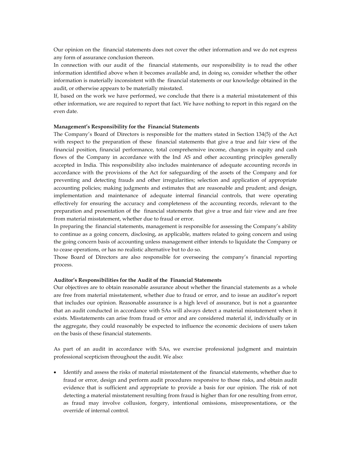Our opinion on the financial statements does not cover the other information and we do not express any form of assurance conclusion thereon.

In connection with our audit of the financial statements, our responsibility is to read the other information identified above when it becomes available and, in doing so, consider whether the other information is materially inconsistent with the financial statements or our knowledge obtained in the audit, or otherwise appears to be materially misstated.

If, based on the work we have performed, we conclude that there is a material misstatement of this other information, we are required to report that fact. We have nothing to report in this regard on the even date.

## Management's Responsibility for the Financial Statements

The Company's Board of Directors is responsible for the matters stated in Section 134(5) of the Act with respect to the preparation of these financial statements that give a true and fair view of the financial position, financial performance, total comprehensive income, changes in equity and cash flows of the Company in accordance with the Ind AS and other accounting principles generally accepted in India. This responsibility also includes maintenance of adequate accounting records in accordance with the provisions of the Act for safeguarding of the assets of the Company and for preventing and detecting frauds and other irregularities; selection and application of appropriate accounting policies; making judgments and estimates that are reasonable and prudent; and design, implementation and maintenance of adequate internal financial controls, that were operating effectively for ensuring the accuracy and completeness of the accounting records, relevant to the preparation and presentation of the financial statements that give a true and fair view and are free from material misstatement, whether due to fraud or error.

In preparing the financial statements, management is responsible for assessing the Company's ability to continue as a going concern, disclosing, as applicable, matters related to going concern and using the going concern basis of accounting unless management either intends to liquidate the Company or to cease operations, or has no realistic alternative but to do so.

Those Board of Directors are also responsible for overseeing the company's financial reporting process.

## Auditor's Responsibilities for the Audit of the Financial Statements

Our objectives are to obtain reasonable assurance about whether the financial statements as a whole are free from material misstatement, whether due to fraud or error, and to issue an auditor's report that includes our opinion. Reasonable assurance is a high level of assurance, but is not a guarantee that an audit conducted in accordance with SAs will always detect a material misstatement when it exists. Misstatements can arise from fraud or error and are considered material if, individually or in the aggregate, they could reasonably be expected to influence the economic decisions of users taken on the basis of these financial statements.

As part of an audit in accordance with SAs, we exercise professional judgment and maintain professional scepticism throughout the audit. We also:

· Identify and assess the risks of material misstatement of the financial statements, whether due to fraud or error, design and perform audit procedures responsive to those risks, and obtain audit evidence that is sufficient and appropriate to provide a basis for our opinion. The risk of not detecting a material misstatement resulting from fraud is higher than for one resulting from error, as fraud may involve collusion, forgery, intentional omissions, misrepresentations, or the override of internal control.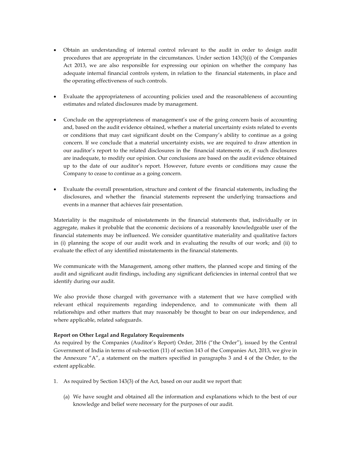- · Obtain an understanding of internal control relevant to the audit in order to design audit procedures that are appropriate in the circumstances. Under section 143(3)(i) of the Companies Act 2013, we are also responsible for expressing our opinion on whether the company has adequate internal financial controls system, in relation to the financial statements, in place and the operating effectiveness of such controls.
- Evaluate the appropriateness of accounting policies used and the reasonableness of accounting estimates and related disclosures made by management.
- · Conclude on the appropriateness of management's use of the going concern basis of accounting and, based on the audit evidence obtained, whether a material uncertainty exists related to events or conditions that may cast significant doubt on the Company's ability to continue as a going concern. If we conclude that a material uncertainty exists, we are required to draw attention in our auditor's report to the related disclosures in the financial statements or, if such disclosures are inadequate, to modify our opinion. Our conclusions are based on the audit evidence obtained up to the date of our auditor's report. However, future events or conditions may cause the Company to cease to continue as a going concern.
- · Evaluate the overall presentation, structure and content of the financial statements, including the disclosures, and whether the financial statements represent the underlying transactions and events in a manner that achieves fair presentation.

Materiality is the magnitude of misstatements in the financial statements that, individually or in aggregate, makes it probable that the economic decisions of a reasonably knowledgeable user of the financial statements may be influenced. We consider quantitative materiality and qualitative factors in (i) planning the scope of our audit work and in evaluating the results of our work; and (ii) to evaluate the effect of any identified misstatements in the financial statements.

We communicate with the Management, among other matters, the planned scope and timing of the audit and significant audit findings, including any significant deficiencies in internal control that we identify during our audit.

We also provide those charged with governance with a statement that we have complied with relevant ethical requirements regarding independence, and to communicate with them all relationships and other matters that may reasonably be thought to bear on our independence, and where applicable, related safeguards.

## Report on Other Legal and Regulatory Requirements

As required by the Companies (Auditor's Report) Order, 2016 ("the Order"), issued by the Central Government of India in terms of sub-section (11) of section 143 of the Companies Act, 2013, we give in the Annexure "A", a statement on the matters specified in paragraphs 3 and 4 of the Order, to the extent applicable.

- 1. As required by Section 143(3) of the Act, based on our audit we report that:
	- (a) We have sought and obtained all the information and explanations which to the best of our knowledge and belief were necessary for the purposes of our audit.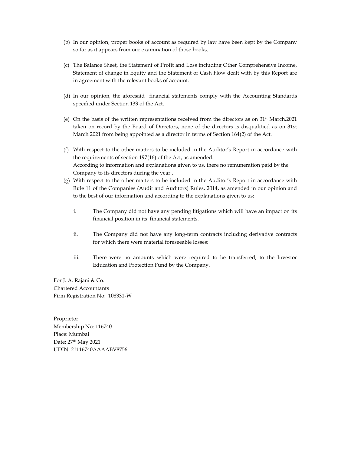- (b) In our opinion, proper books of account as required by law have been kept by the Company so far as it appears from our examination of those books.
- (c) The Balance Sheet, the Statement of Profit and Loss including Other Comprehensive Income, Statement of change in Equity and the Statement of Cash Flow dealt with by this Report are in agreement with the relevant books of account.
- (d) In our opinion, the aforesaid financial statements comply with the Accounting Standards specified under Section 133 of the Act.
- (e) On the basis of the written representations received from the directors as on  $31st$  March,2021 taken on record by the Board of Directors, none of the directors is disqualified as on 31st March 2021 from being appointed as a director in terms of Section 164(2) of the Act.
- (f) With respect to the other matters to be included in the Auditor's Report in accordance with the requirements of section 197(16) of the Act, as amended: According to information and explanations given to us, there no remuneration paid by the Company to its directors during the year .
- (g) With respect to the other matters to be included in the Auditor's Report in accordance with Rule 11 of the Companies (Audit and Auditors) Rules, 2014, as amended in our opinion and to the best of our information and according to the explanations given to us:
	- i. The Company did not have any pending litigations which will have an impact on its financial position in its financial statements.
	- ii. The Company did not have any long-term contracts including derivative contracts for which there were material foreseeable losses;
	- iii. There were no amounts which were required to be transferred, to the Investor Education and Protection Fund by the Company.

For J. A. Rajani & Co. Chartered Accountants Firm Registration No: 108331-W

Proprietor Membership No: 116740 Place: Mumbai Date: 27th May 2021 UDIN: 21116740AAAABV8756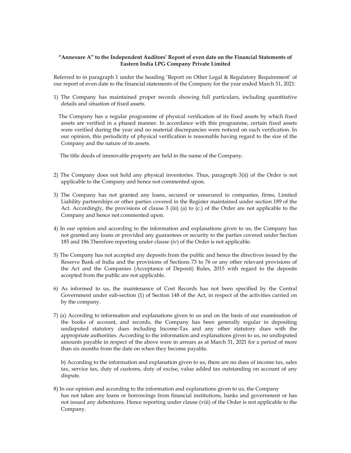## "Annexure A" to the Independent Auditors' Report of even date on the Financial Statements of Eastern India LPG Company Private Limited

Referred to in paragraph 1 under the heading 'Report on Other Legal & Regulatory Requirement' of our report of even date to the financial statements of the Company for the year ended March 31, 2021:

1) The Company has maintained proper records showing full particulars, including quantitative details and situation of fixed assets.

 The Company has a regular programme of physical verification of its fixed assets by which fixed assets are verified in a phased manner. In accordance with this programme, certain fixed assets were verified during the year and no material discrepancies were noticed on such verification. In our opinion, this periodicity of physical verification is reasonable having regard to the size of the Company and the nature of its assets.

The title deeds of immovable property are held in the name of the Company.

- 2) The Company does not hold any physical inventories. Thus, paragraph 3(ii) of the Order is not applicable to the Company and hence not commented upon.
- 3) The Company has not granted any loans, secured or unsecured to companies, firms, Limited Liability partnerships or other parties covered in the Register maintained under section 189 of the Act. Accordingly, the provisions of clause 3 (iii) (a) to (c.) of the Order are not applicable to the Company and hence not commented upon.
- 4) In our opinion and according to the information and explanations given to us, the Company has not granted any loans or provided any guarantees or security to the parties covered under Section 185 and 186.Therefore reporting under clause (iv) of the Order is not applicable.
- 5) The Company has not accepted any deposits from the public and hence the directives issued by the Reserve Bank of India and the provisions of Sections 73 to 76 or any other relevant provisions of the Act and the Companies (Acceptance of Deposit) Rules, 2015 with regard to the deposits accepted from the public are not applicable.
- 6) As informed to us, the maintenance of Cost Records has not been specified by the Central Government under sub-section (1) of Section 148 of the Act, in respect of the activities carried on by the company.
- 7) (a) According to information and explanations given to us and on the basis of our examination of the books of account, and records, the Company has been generally regular in depositing undisputed statutory dues including Income-Tax and any other statutory dues with the appropriate authorities. According to the information and explanations given to us, no undisputed amounts payable in respect of the above were in arrears as at March 31, 2021 for a period of more than six months from the date on when they become payable.

b) According to the information and explanation given to us, there are no dues of income tax, sales tax, service tax, duty of customs, duty of excise, value added tax outstanding on account of any dispute.

8) In our opinion and according to the information and explanations given to us, the Company has not taken any loans or borrowings from financial institutions, banks and government or has not issued any debentures. Hence reporting under clause (viii) of the Order is not applicable to the Company.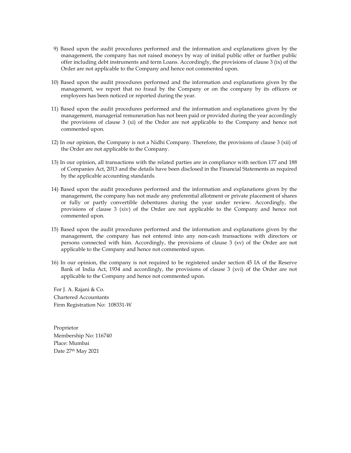- 9) Based upon the audit procedures performed and the information and explanations given by the management, the company has not raised moneys by way of initial public offer or further public offer including debt instruments and term Loans. Accordingly, the provisions of clause 3 (ix) of the Order are not applicable to the Company and hence not commented upon.
- 10) Based upon the audit procedures performed and the information and explanations given by the management, we report that no fraud by the Company or on the company by its officers or employees has been noticed or reported during the year.
- 11) Based upon the audit procedures performed and the information and explanations given by the management, managerial remuneration has not been paid or provided during the year accordingly the provisions of clause 3 (xi) of the Order are not applicable to the Company and hence not commented upon.
- 12) In our opinion, the Company is not a Nidhi Company. Therefore, the provisions of clause 3 (xii) of the Order are not applicable to the Company.
- 13) In our opinion, all transactions with the related parties are in compliance with section 177 and 188 of Companies Act, 2013 and the details have been disclosed in the Financial Statements as required by the applicable accounting standards.
- 14) Based upon the audit procedures performed and the information and explanations given by the management, the company has not made any preferential allotment or private placement of shares or fully or partly convertible debentures during the year under review. Accordingly, the provisions of clause 3 (xiv) of the Order are not applicable to the Company and hence not commented upon.
- 15) Based upon the audit procedures performed and the information and explanations given by the management, the company has not entered into any non-cash transactions with directors or persons connected with him. Accordingly, the provisions of clause 3 (xv) of the Order are not applicable to the Company and hence not commented upon.
- 16) In our opinion, the company is not required to be registered under section 45 IA of the Reserve Bank of India Act, 1934 and accordingly, the provisions of clause 3 (xvi) of the Order are not applicable to the Company and hence not commented upon.

For J. A. Rajani & Co. Chartered Accountants Firm Registration No: 108331-W

Proprietor Membership No: 116740 Place: Mumbai Date 27th May 2021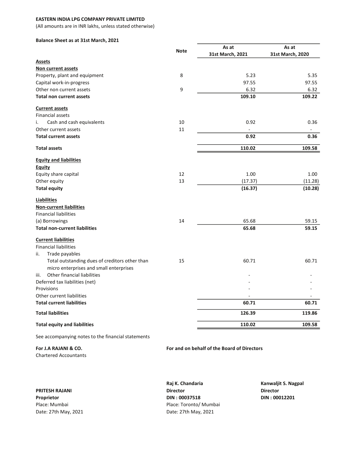(All amounts are in INR lakhs, unless stated otherwise)

## Balance Sheet as at 31st March, 2021

|                                                | <b>Note</b> | As at            | As at            |
|------------------------------------------------|-------------|------------------|------------------|
|                                                |             | 31st March, 2021 | 31st March, 2020 |
| Assets                                         |             |                  |                  |
| Non current assets                             |             |                  |                  |
| Property, plant and equipment                  | 8           | 5.23             | 5.35             |
| Capital work-in-progress                       |             | 97.55            | 97.55            |
| Other non current assets                       | 9           | 6.32             | 6.32             |
| <b>Total non current assets</b>                |             | 109.10           | 109.22           |
| <b>Current assets</b>                          |             |                  |                  |
| Financial assets                               |             |                  |                  |
| Cash and cash equivalents<br>i.                | 10          | 0.92             | 0.36             |
| Other current assets                           | 11          | $\overline{a}$   |                  |
| <b>Total current assets</b>                    |             | 0.92             | 0.36             |
| <b>Total assets</b>                            |             | 110.02           | 109.58           |
| <b>Equity and liabilities</b>                  |             |                  |                  |
| Equity                                         |             |                  |                  |
| Equity share capital                           | 12          | 1.00             | 1.00             |
| Other equity                                   | 13          | (17.37)          | (11.28)          |
| <b>Total equity</b>                            |             | (16.37)          | (10.28)          |
| <b>Liabilities</b>                             |             |                  |                  |
| <b>Non-current liabilities</b>                 |             |                  |                  |
| <b>Financial liabilities</b>                   |             |                  |                  |
| (a) Borrowings                                 | 14          | 65.68            | 59.15            |
| <b>Total non-current liabilities</b>           |             | 65.68            | 59.15            |
| <b>Current liabilities</b>                     |             |                  |                  |
| <b>Financial liabilities</b>                   |             |                  |                  |
| ii.<br>Trade payables                          |             |                  |                  |
| Total outstanding dues of creditors other than | 15          | 60.71            | 60.71            |
| micro enterprises and small enterprises        |             |                  |                  |
| <b>Other financial liabilities</b><br>iii.     |             |                  |                  |
| Deferred tax liabilities (net)                 |             |                  |                  |
| Provisions                                     |             |                  |                  |
| Other current liabilities                      |             |                  |                  |
| <b>Total current liabilities</b>               |             | 60.71            | 60.71            |
| <b>Total liabilities</b>                       |             | 126.39           | 119.86           |
| <b>Total equity and liabilities</b>            |             | 110.02           | 109.58           |

See accompanying notes to the financial statements

Chartered Accountants

For J.A RAJANI & CO. **For and on behalf of the Board of Directors** 

Raj K. Chandaria Kanwaljit S. Nagpal PRITESH RAJANI Director Director Proprietor DIN : 00037518 DIN : 00012201 Place: Mumbai Place: Toronto/ Mumbai Date: 27th May, 2021 **Date: 27th May, 2021**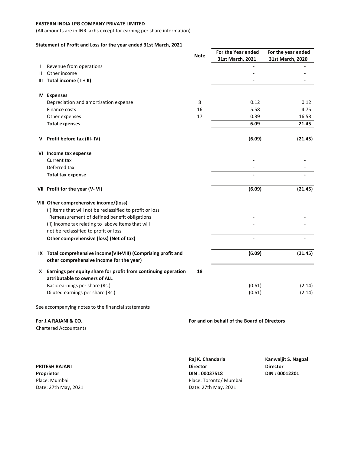(All amounts are in INR lakhs except for earning per share information)

## Statement of Profit and Loss for the year ended 31st March, 2021

|    |                                                                                                            | <b>Note</b> | For the Year ended<br>31st March, 2021 | For the year ended<br>31st March, 2020 |
|----|------------------------------------------------------------------------------------------------------------|-------------|----------------------------------------|----------------------------------------|
| I. | Revenue from operations                                                                                    |             |                                        |                                        |
| Ш  | Other income                                                                                               |             |                                        |                                        |
| Ш  | Total income (1+II)                                                                                        |             |                                        |                                        |
|    | <b>IV Expenses</b>                                                                                         |             |                                        |                                        |
|    | Depreciation and amortisation expense                                                                      | 8           | 0.12                                   | 0.12                                   |
|    | Finance costs                                                                                              | 16          | 5.58                                   | 4.75                                   |
|    | Other expenses                                                                                             | 17          | 0.39                                   | 16.58                                  |
|    | <b>Total expenses</b>                                                                                      |             | 6.09                                   | 21.45                                  |
|    | Profit before tax (III-IV)                                                                                 |             | (6.09)                                 | (21.45)                                |
|    | VI Income tax expense                                                                                      |             |                                        |                                        |
|    | Current tax                                                                                                |             |                                        |                                        |
|    | Deferred tax                                                                                               |             |                                        |                                        |
|    | <b>Total tax expense</b>                                                                                   |             |                                        |                                        |
|    | VII Profit for the year (V-VI)                                                                             |             | (6.09)                                 | (21.45)                                |
|    | VIII Other comprehensive income/(loss)                                                                     |             |                                        |                                        |
|    | (i) Items that will not be reclassified to profit or loss                                                  |             |                                        |                                        |
|    | Remeasurement of defined benefit obligations                                                               |             |                                        |                                        |
|    | (ii) Income tax relating to above items that will                                                          |             |                                        |                                        |
|    | not be reclassified to profit or loss                                                                      |             |                                        |                                        |
|    | Other comprehensive (loss) (Net of tax)                                                                    |             |                                        |                                        |
|    | IX Total comprehensive income(VII+VIII) (Comprising profit and<br>other comprehensive income for the year) |             | (6.09)                                 | (21.45)                                |
|    | X Earnings per equity share for profit from continuing operation<br>attributable to owners of ALL          | 18          |                                        |                                        |
|    | Basic earnings per share (Rs.)                                                                             |             | (0.61)                                 | (2.14)                                 |
|    | Diluted earnings per share (Rs.)                                                                           |             | (0.61)                                 | (2.14)                                 |
|    | See accompanying notes to the financial statements                                                         |             |                                        |                                        |

Chartered Accountants

For J.A RAJANI & CO. **For and on behalf of the Board of Directors** 

Raj K. Chandaria Kanwaljit S. Nagpal PRITESH RAJANI Director Director Proprietor DIN : 00037518 DIN : 00012201 Place: Mumbai **Place:** Mumbai **Place:** Toronto/ Mumbai Date: 27th May, 2021 Date: 27th May, 2021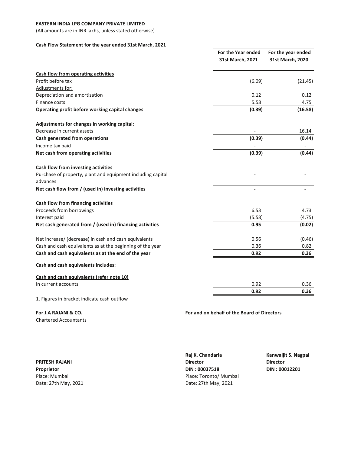(All amounts are in INR lakhs, unless stated otherwise)

## Cash Flow Statement for the year ended 31st March, 2021

|                                                             | For the Year ended | For the year ended |
|-------------------------------------------------------------|--------------------|--------------------|
|                                                             | 31st March, 2021   | 31st March, 2020   |
| <b>Cash flow from operating activities</b>                  |                    |                    |
| Profit before tax                                           | (6.09)             | (21.45)            |
| Adjustments for:                                            |                    |                    |
| Depreciation and amortisation                               | 0.12               | 0.12               |
| Finance costs                                               | 5.58               | 4.75               |
| Operating profit before working capital changes             | (0.39)             | (16.58)            |
| Adjustments for changes in working capital:                 |                    |                    |
| Decrease in current assets                                  |                    | 16.14              |
| Cash generated from operations                              | (0.39)             | (0.44)             |
| Income tax paid                                             |                    |                    |
| Net cash from operating activities                          | (0.39)             | (0.44)             |
| <b>Cash flow from investing activities</b>                  |                    |                    |
| Purchase of property, plant and equipment including capital |                    |                    |
| advances                                                    |                    |                    |
| Net cash flow from / (used in) investing activities         |                    |                    |
| Cash flow from financing activities                         |                    |                    |
| Proceeds from borrowings                                    | 6.53               | 4.73               |
| Interest paid                                               | (5.58)             | (4.75)             |
| Net cash generated from / (used in) financing activities    | 0.95               | (0.02)             |
| Net increase/ (decrease) in cash and cash equivalents       | 0.56               | (0.46)             |
| Cash and cash equivalents as at the beginning of the year   | 0.36               | 0.82               |
| Cash and cash equivalents as at the end of the year         | 0.92               | 0.36               |
| Cash and cash equivalents includes:                         |                    |                    |
| Cash and cash equivalents (refer note 10)                   |                    |                    |
| In current accounts                                         | 0.92               | 0.36               |
|                                                             | 0.92               | 0.36               |
| 1. Figures in bracket indicate cash outflow                 |                    |                    |

Chartered Accountants

For J.A RAJANI & CO. For and on behalf of the Board of Directors

Date: 27th May, 2021 Date: 27th May, 2021

Raj K. Chandaria Kanwaljit S. Nagpal PRITESH RAJANI Director Director Proprietor DIN : 00037518 DIN : 00012201 Place: Mumbai **Place: Mumbai** Place: Toronto/ Mumbai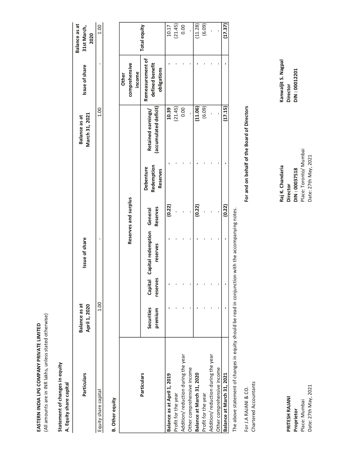(All amounts are in INR lakhs, unless stated otherwise) (All amounts are in INR lakhs, unless stated otherwise)

# Statement of changes in equity<br>A. Equity share capital Statement of changes in equity

A. Equity share capital

| Particulars            | <b>Balance as at</b><br>April 1, 2020 | Issue of share | March 31, 2021<br><b>Balance as at</b> | Issue of share | Balance as at<br>31st March,<br>2020 |
|------------------------|---------------------------------------|----------------|----------------------------------------|----------------|--------------------------------------|
| Equity share capital   | $\frac{8}{10}$                        | ï              | $\frac{0}{1}$                          |                | 1.00                                 |
| <b>B. Other equity</b> |                                       |                |                                        |                |                                      |
|                        |                                       |                |                                        | $\overline{a}$ |                                      |

| <b>D. Displace</b>                 |                       |                     |                                        |                      |                                     |                                             |                                                    |                     |
|------------------------------------|-----------------------|---------------------|----------------------------------------|----------------------|-------------------------------------|---------------------------------------------|----------------------------------------------------|---------------------|
|                                    |                       |                     |                                        | Reserves and surplus |                                     |                                             | comprehensive<br>income<br><b>Other</b>            |                     |
| Particulars                        | Securities<br>premium | reserves<br>Capital | Capital redemption General<br>reserves | Reserves             | Redemption<br>Debenture<br>Reserves | (accumulated deficit)<br>Retained earnings/ | Remeasurement of<br>defined benefit<br>obligations | <b>Total equity</b> |
| Balance as at April 1, 2019        |                       |                     |                                        | (0.22)               |                                     | 10.39                                       |                                                    | 10.17               |
| Profit for the year                |                       |                     |                                        |                      |                                     | (21.45)                                     |                                                    | (21.45)             |
| Addition/reduction during the year |                       |                     |                                        |                      |                                     | 0.00                                        |                                                    | 0.00                |
| Other comprehensive income         |                       |                     |                                        |                      |                                     |                                             |                                                    |                     |
| Balance at March 31, 2020          |                       |                     |                                        | (0.22)               |                                     | (11.06)                                     |                                                    | (11.28)             |
| Profit for the year                |                       |                     |                                        |                      |                                     | (6.09)                                      |                                                    | (6.09)              |
| Addition/reduction during the year |                       |                     |                                        |                      |                                     |                                             |                                                    |                     |
| Other comprehensive income         |                       |                     |                                        |                      |                                     |                                             |                                                    |                     |
| Balance at March 31, 2021          |                       |                     |                                        | (0.22)               |                                     | (17.15)                                     |                                                    | (17.37)             |
|                                    |                       |                     |                                        |                      |                                     |                                             |                                                    |                     |

The above statement of changes in equity should be read in conjunction with the accompanying notes. The above statement of changes in equity should be read in conjunction with the accompanying notes.

Chartered Accountants Chartered Accountants For J.A RAJANI & CO.

For and on behalf of the Board of Directors For J.A RAJANI & CO. For and on behalf of the Board of Directors

Date: 27th May, 2021 Date: 27th May, 2021 Place: Mumbai<br>Date: 27th May, 2021 PRITESH RAJANI Proprietor

Raj K. Chandaria Kanwaljit S. Nagpal Proprietor DIN : 00037518 DIN : 00012201 PRITESH RAJANI Director Director Place: Toronto/ Mumbai Place: Mumbai Place: Toronto/ Mumbai Date: 27th May, 2021 Raj K. Chandaria DIN: 00037518 **Director** 

Kanwaljit S. Nagpal Director<br>DIN : 00012201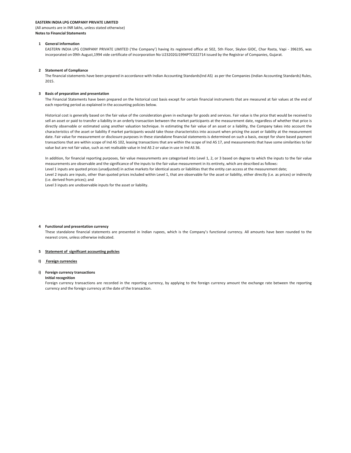(All amounts are in INR lakhs, unless stated otherwise) Notes to Financial Statements

#### 1 General information

EASTERN INDIA LPG COMPANY PRIVATE LIMITED ('the Company') having its registered office at 502, 5th Floor, Skylon GIDC, Char Rasta, Vapi - 396195, was incorporated on 09th August,1994 vide certificate of incorporation No U23202GJ1994PTC022714 issued by the Registrar of Companies, Gujarat.

#### 2 Statement of Compliance

The financial statements have been prepared in accordance with Indian Accounting Standards(Ind AS) as per the Companies (Indian Accounting Standards) Rules, 2015.

#### 3 Basis of preparation and presentation

The Financial Statements have been prepared on the historical cost basis except for certain financial instruments that are measured at fair values at the end of each reporting period as explained in the accounting policies below.

Historical cost is generally based on the fair value of the consideration given in exchange for goods and services. Fair value is the price that would be received to sell an asset or paid to transfer a liability in an orderly transaction between the market participants at the measurement date, regardless of whether that price is directly observable or estimated using another valuation technique. In estimating the fair value of an asset or a liability, the Company takes into account the characteristics of the asset or liability if market participants would take those characteristics into account when pricing the asset or liability at the measurement date. Fair value for measurement or disclosure purposes in these standalone financial statements is determined on such a basis, except for share based payment transactions that are within scope of Ind AS 102, leasing transactions that are within the scope of Ind AS 17, and measurements that have some similarities to fair value but are not fair value, such as net realisable value in Ind AS 2 or value in use in Ind AS 36.

In addition, for financial reporting purposes, fair value measurements are categorised into Level 1, 2, or 3 based on degree to which the inputs to the fair value measurements are observable and the significance of the inputs to the fair value measurement in its entirety, which are described as follows:

Level 1 inputs are quoted prices (unadjusted) in active markets for identical assets or liabilities that the entity can access at the measurement date;

Level 2 inputs are inputs, other than quoted prices included within Level 1, that are observable for the asset or liability, either directly (i.e. as prices) or indirectly (i.e. derived from prices); and

Level 3 inputs are unobservable inputs for the asset or liability.

#### 4 Functional and presentation currency

These standalone financial statements are presented in Indian rupees, which is the Company's functional currency. All amounts have been rounded to the nearest crore, unless otherwise indicated.

#### 5 Statement of significant accounting policies

#### I) Foreign currencies

#### i) Foreign currency transactions

## Initial recognition

Foreign currency transactions are recorded in the reporting currency, by applying to the foreign currency amount the exchange rate between the reporting currency and the foreign currency at the date of the transaction.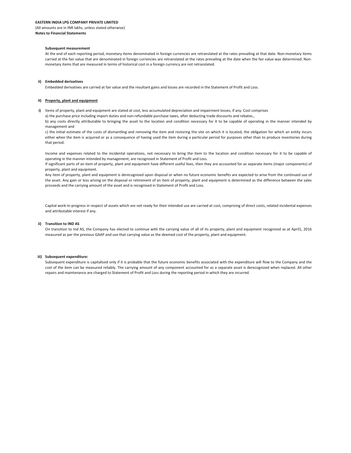(All amounts are in INR lakhs, unless stated otherwise) Notes to Financial Statements

#### Subsequent measurement

At the end of each reporting period, monetary items denominated in foreign currencies are retranslated at the rates prevailing at that date. Non-monetary items carried at the fair value that are denominated in foreign currencies are retranslated at the rates prevailing at the date when the fair value was determined. Nonmonetary items that are measured in terms of historical cost in a foreign currency are not retranslated.

#### ii) Embedded derivatives

Embedded derivatives are carried at fair value and the resultant gains and losses are recorded in the Statement of Profit and Loss.

#### II) Property, plant and equipment

i) Items of property, plant and equipment are stated at cost, less accumulated depreciation and impairment losses, if any. Cost comprises a) the purchase price including import duties and non-refundable purchase taxes, after deducting trade discounts and rebates.,

b) any costs directly attributable to bringing the asset to the location and condition necessary for it to be capable of operating in the manner intended by management and

c) the initial estimate of the costs of dismantling and removing the item and restoring the site on which it is located, the obligation for which an entity incurs either when the item is acquired or as a consequence of having used the item during a particular period for purposes other than to produce inventories during that period.

Income and expenses related to the incidental operations, not necessary to bring the item to the location and condition necessary for it to be capable of operating in the manner intended by management, are recognised in Statement of Profit and Loss.

If significant parts of an item of property, plant and equipment have different useful lives, then they are accounted for as separate items (major components) of property, plant and equipment.

Any item of property, plant and equipment is derecognised upon disposal or when no future economic benefits are expected to arise from the continued use of the asset. Any gain or loss arising on the disposal or retirement of an item of property, plant and equipment is determined as the difference between the sales proceeds and the carrying amount of the asset and is recognised in Statement of Profit and Loss.

Capital work-in-progress in respect of assets which are not ready for their intended use are carried at cost, comprising of direct costs, related incidental expenses and attributable interest if any.

#### ii) Transition to IND AS

On transition to Ind AS, the Company has elected to continue with the carrying value of all of its property, plant and equipment recognised as at April1, 2016 measured as per the previous GAAP and use that carrying value as the deemed cost of the property, plant and equipment.

#### iii) Subsequent expenditure:

Subsequent expenditure is capitalised only if it is probable that the future economic benefits associated with the expenditure will flow to the Company and the cost of the item can be measured reliably. The carrying amount of any component accounted for as a separate asset is derecognized when replaced. All other repairs and maintenance are charged to Statement of Profit and Loss during the reporting period in which they are incurred.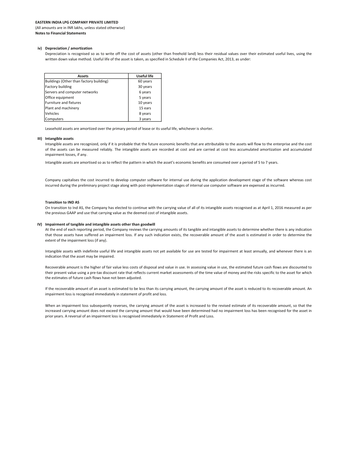(All amounts are in INR lakhs, unless stated otherwise) Notes to Financial Statements

#### iv) Depreciation / amortization

Depreciation is recognised so as to write off the cost of assets (other than freehold land) less their residual values over their estimated useful lives, using the written down value method. Useful life of the asset is taken, as specified in Schedule II of the Companies Act, 2013, as under:

| Assets                                  | Useful life |
|-----------------------------------------|-------------|
| Buildings (Other than factory building) | 60 years    |
| <b>Factory building</b>                 | 30 years    |
| Servers and computer networks           | 6 years     |
| Office equipment                        | 5 years     |
| <b>Furniture and fixtures</b>           | 10 years    |
| Plant and machinery                     | 15 ears     |
| Vehicles                                | 8 years     |
| <b>Computers</b>                        | 3 years     |

Leasehold assets are amortized over the primary period of lease or its useful life, whichever is shorter.

#### III) Intangible assets

Intangible assets are recognized, only if it is probable that the future economic benefits that are attributable to the assets will flow to the enterprise and the cost of the assets can be measured reliably. The intangible assets are recorded at cost and are carried at cost less accumulated amortization and accumulated impairment losses, if any.

Intangible assets are amortised so as to reflect the pattern in which the asset's economic benefits are consumed over a period of 5 to 7 years.

Company capitalises the cost incurred to develop computer software for internal use during the application development stage of the software whereas cost incurred during the preliminary project stage along with post-implementation stages of internal use computer software are expensed as incurred.

#### Transition to IND AS

On transition to Ind AS, the Company has elected to continue with the carrying value of all of its intangible assets recognised as at April 1, 2016 measured as per the previous GAAP and use that carrying value as the deemed cost of intangible assets.

#### IV) Impairment of tangible and intangible assets other than goodwill

At the end of each reporting period, the Company reviews the carrying amounts of its tangible and intangible assets to determine whether there is any indication that those assets have suffered an impairment loss. If any such indication exists, the recoverable amount of the asset is estimated in order to determine the extent of the impairment loss (if any).

Intangible assets with indefinite useful life and intangible assets not yet available for use are tested for impairment at least annually, and whenever there is an indication that the asset may be impaired.

Recoverable amount is the higher of fair value less costs of disposal and value in use. In assessing value in use, the estimated future cash flows are discounted to their present value using a pre-tax discount rate that reflects current market assessments of the time value of money and the risks specific to the asset for which the estimates of future cash flows have not been adjusted.

If the recoverable amount of an asset is estimated to be less than its carrying amount, the carrying amount of the asset is reduced to its recoverable amount. An impairment loss is recognised immediately in statement of profit and loss.

When an impairment loss subsequently reverses, the carrying amount of the asset is increased to the revised estimate of its recoverable amount, so that the increased carrying amount does not exceed the carrying amount that would have been determined had no impairment loss has been recognised for the asset in prior years. A reversal of an impairment loss is recognised immediately in Statement of Profit and Loss.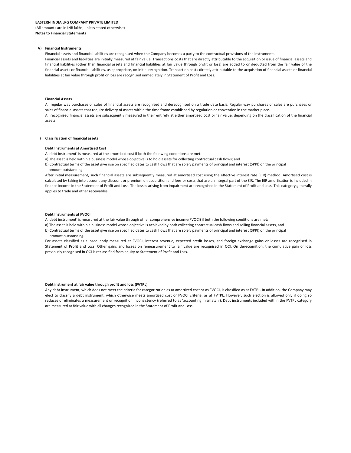(All amounts are in INR lakhs, unless stated otherwise) Notes to Financial Statements

#### V) Financial Instruments

Financial assets and financial liabilities are recognised when the Company becomes a party to the contractual provisions of the instruments.

Financial assets and liabilities are initially measured at fair value. Transactions costs that are directly attributable to the acquisition or issue of financial assets and financial liabilities (other than financial assets and financial liabilities at fair value through profit or loss) are added to or deducted from the fair value of the financial assets or financial liabilities, as appropriate, on initial recognition. Transaction costs directly attributable to the acquisition of financial assets or financial liabilities at fair value through profit or loss are recognised immediately in Statement of Profit and Loss.

#### Financial Assets

All regular way purchases or sales of financial assets are recognised and derecognised on a trade date basis. Regular way purchases or sales are purchases or sales of financial assets that require delivery of assets within the time frame established by regulation or convention in the market place. All recognised financial assets are subsequently measured in their entirety at either amortised cost or fair value, depending on the classification of the financial assets.

#### i) Classification of financial assets

#### Debt Instruments at Amortised Cost

A 'debt instrument' is measured at the amortised cost if both the following conditions are met:

- a) The asset is held within a business model whose objective is to hold assets for collecting contractual cash flows; and
- b) Contractual terms of the asset give rise on specified dates to cash flows that are solely payments of principal and interest (SPPI) on the principal amount outstanding.

After initial measurement, such financial assets are subsequently measured at amortised cost using the effective interest rate (EIR) method. Amortised cost is calculated by taking into account any discount or premium on acquisition and fees or costs that are an integral part of the EIR. The EIR amortisation is included in finance income in the Statement of Profit and Loss. The losses arising from impairment are recognised in the Statement of Profit and Loss. This category generally applies to trade and other receivables.

#### Debt Instruments at FVOCI

A 'debt instrument' is measured at the fair value through other comprehensive income(FVOCI) if both the following conditions are met:

a) The asset is held within a business model whose objective is achieved by both collecting contractual cash flows and selling financial assets, and

b) Contractual terms of the asset give rise on specified dates to cash flows that are solely payments of principal and interest (SPPI) on the principal amount outstanding.

For assets classified as subsequently measured at FVOCI, interest revenue, expected credit losses, and foreign exchange gains or losses are recognised in Statement of Profit and Loss. Other gains and losses on remeasurement to fair value are recognised in OCI. On derecognition, the cumulative gain or loss previously recognised in OCI is reclassified from equity to Statement of Profit and Loss.

#### Debt instrument at fair value through profit and loss (FVTPL)

Any debt instrument, which does not meet the criteria for categorization as at amortized cost or as FVOCI, is classified as at FVTPL. In addition, the Company may elect to classify a debt instrument, which otherwise meets amortized cost or FVOCI criteria, as at FVTPL. However, such election is allowed only if doing so reduces or eliminates a measurement or recognition inconsistency (referred to as 'accounting mismatch'). Debt instruments included within the FVTPL category are measured at fair value with all changes recognized in the Statement of Profit and Loss.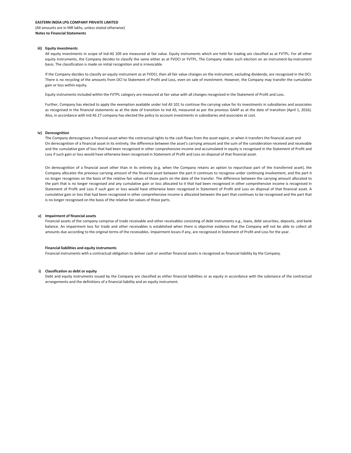(All amounts are in INR lakhs, unless stated otherwise) Notes to Financial Statements

#### iii) Equity investments

All equity investments in scope of Ind-AS 109 are measured at fair value. Equity instruments which are held for trading are classified as at FVTPL. For all other equity instruments, the Company decides to classify the same either as at FVOCI or FVTPL. The Company makes such election on an instrument-by-instrument basis. The classification is made on initial recognition and is irrevocable.

If the Company decides to classify an equity instrument as at FVOCI, then all fair value changes on the instrument, excluding dividends, are recognized in the OCI. There is no recycling of the amounts from OCI to Statement of Profit and Loss, even on sale of investment. However, the Company may transfer the cumulative gain or loss within equity.

Equity instruments included within the FVTPL category are measured at fair value with all changes recognized in the Statement of Profit and Loss.

Further, Company has elected to apply the exemption available under Ind AS 101 to continue the carrying value for its investments in subsidiaries and associates as recognised in the financial statements as at the date of transition to Ind AS, measured as per the previous GAAP as at the date of transition (April 1, 2016). Also, in accordance with Ind AS 27 company has elected the policy to account investments in subsidiaries and associates at cost.

#### iv) Derecognition

The Company derecognises a financial asset when the contractual rights to the cash flows from the asset expire, or when it transfers the financial asset and On derecognition of a financial asset in its entirety, the difference between the asset's carrying amount and the sum of the consideration received and receivable and the cumulative gain of loss that had been recognised in other comprehensive income and accumulated in equity is recognised in the Statement of Profit and Loss if such gain or loss would have otherwise been recognised in Statement of Profit and Loss on disposal of that financial asset.

On derecognition of a financial asset other than in its entirety (e.g. when the Company retains an option to repurchase part of the transferred asset), the Company allocates the previous carrying amount of the financial asset between the part it continues to recognise under continuing involvement, and the part it no longer recognises on the basis of the relative fair values of those parts on the date of the transfer. The difference between the carrying amount allocated to the part that is no longer recognised and any cumulative gain or loss allocated to it that had been recognised in other comprehensive income is recognised in Statement of Profit and Loss if such gain or loss would have otherwise been recognised in Statement of Profit and Loss on disposal of that financial asset. A cumulative gain or loss that had been recognised in other comprehensive income is allocated between the part that continues to be recognised and the part that is no longer recognised on the basis of the relative fair values of those parts.

#### v) Impairment of financial assets

Financial assets of the company comprise of trade receivable and other receivables consisting of debt instruments e.g., loans, debt securities, deposits, and bank balance. An impairment loss for trade and other receivables is established when there is objective evidence that the Company will not be able to collect all amounts due according to the original terms of the receivables. Impairment losses if any, are recognised in Statement of Profit and Loss for the year.

#### Financial liabilities and equity instruments

Financial instruments with a contractual obligation to deliver cash or another financial assets is recognised as financial liability by the Company.

#### i) Classification as debt or equity

Debt and equity instruments issued by the Company are classified as either financial liabilities or as equity in accordance with the substance of the contractual arrangements and the definitions of a financial liability and an equity instrument.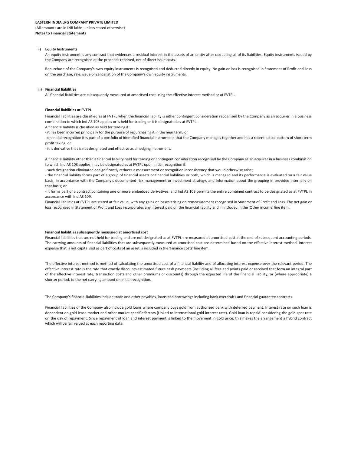(All amounts are in INR lakhs, unless stated otherwise) Notes to Financial Statements

#### ii) Equity Instruments

An equity instrument is any contract that evidences a residual interest in the assets of an entity after deducting all of its liabilities. Equity instruments issued by the Company are recognised at the proceeds received, net of direct issue costs.

Repurchase of the Company's own equity instruments is recognised and deducted directly in equity. No gain or loss is recognised in Statement of Profit and Loss on the purchase, sale, issue or cancellation of the Company's own equity instruments.

#### iii) Financial liabilities

All financial liabilities are subsequently measured at amoritsed cost using the effective interest method or at FVTPL.

#### Financial liabilities at FVTPL

Financial liabilities are classified as at FVTPL when the financial liability is either contingent consideration recognised by the Company as an acquirer in a business combination to which Ind AS 103 applies or is held for trading or it is designated as at FVTPL.

A financial liability is classified as held for trading if:

- it has been incurred principally for the purpose of repurchasing it in the near term; or

- on initial recognition it is part of a portfolio of identified financial instruments that the Company manages together and has a recent actual pattern of short term profit taking; or

- it is derivative that is not designated and effective as a hedging instrument.

A financial liability other than a financial liability held for trading or contingent consideration recognised by the Company as an acquirer in a business combination to which Ind AS 103 applies, may be designated as at FVTPL upon initial recognition if:

- such designation eliminated or significantly reduces a measurement or recognition inconsistency that would otherwise arise;

- the financial liability forms part of a group of financial assets or financial liabilities or both, which is managed and its performance is evaluated on a fair value basis, in accordance with the Company's documented risk management or investment strategy, and information about the grouping in provided internally on that basis; or

- it forms part of a contract containing one or more embedded derivatives, and Ind AS 109 permits the entire combined contract to be designated as at FVTPL in accordance with Ind AS 109.

Financial liabilities at FVTPL are stated at fair value, with any gains or losses arising on remeasurement recognised in Statement of Profit and Loss. The net gain or loss recognised in Statement of Profit and Loss incorporates any interest paid on the financial liability and in included in the 'Other income' line item.

#### Financial liabilities subsequently measured at amortised cost

Financial liabilities that are not held for trading and are not designated as at FVTPL are measured at amortised cost at the end of subsequent accounting periods. The carrying amounts of financial liabilities that are subsequently measured at amortised cost are determined based on the effective interest method. Interest expense that is not capitalised as part of costs of an asset is included in the 'Finance costs' line item.

The effective interest method is method of calculating the amortised cost of a financial liability and of allocating interest expense over the relevant period. The effective interest rate is the rate that exactly discounts estimated future cash payments (including all fees and points paid or received that form an integral part of the effective interest rate, transaction costs and other premiums or discounts) through the expected life of the financial liability, or (where appropriate) a shorter period, to the net carrying amount on initial recognition.

The Company's financial liabilities include trade and other payables, loans and borrowings including bank overdrafts and financial guarantee contracts.

Financial liabilities of the Company also include gold loans where company buys gold from authorised bank with deferred payment. Interest rate on such loan is dependent on gold lease market and other market specific factors (Linked to international gold interest rate). Gold loan is repaid considering the gold spot rate on the day of repayment. Since repayment of loan and interest payment is linked to the movement in gold price, this makes the arrangement a hybrid contract which will be fair valued at each reporting date.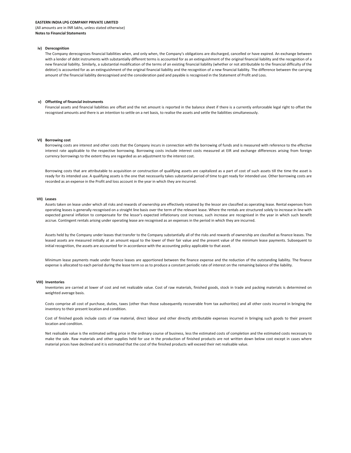(All amounts are in INR lakhs, unless stated otherwise) Notes to Financial Statements

#### iv) Derecognition

The Company derecognises financial liabilities when, and only when, the Company's obligations are discharged, cancelled or have expired. An exchange between with a lender of debt instruments with substantially different terms is accounted for as an extinguishment of the original financial liability and the recognition of a new financial liability. Similarly, a substantial modification of the terms of an existing financial liability (whether or not attributable to the financial difficulty of the debtor) is accounted for as an extinguishment of the original financial liability and the recognition of a new financial liability. The difference between the carrying amount of the financial liability derecognised and the consideration paid and payable is recognised in the Statement of Profit and Loss.

#### v) Offsetting of financial instruments

Financial assets and financial liabilities are offset and the net amount is reported in the balance sheet if there is a currently enforceable legal right to offset the recognised amounts and there is an intention to settle on a net basis, to realise the assets and settle the liabilities simultaneously.

#### VI) Borrowing cost

Borrowing costs are interest and other costs that the Company incurs in connection with the borrowing of funds and is measured with reference to the effective interest rate applicable to the respective borrowing. Borrowing costs include interest costs measured at EIR and exchange differences arising from foreign currency borrowings to the extent they are regarded as an adjustment to the interest cost.

Borrowing costs that are attributable to acquisition or construction of qualifying assets are capitalized as a part of cost of such assets till the time the asset is ready for its intended use. A qualifying assets is the one that necessarily takes substantial period of time to get ready for intended use. Other borrowing costs are recorded as an expense in the Profit and loss account in the year in which they are incurred.

#### VII) Leases

Assets taken on lease under which all risks and rewards of ownership are effectively retained by the lessor are classified as operating lease. Rental expenses from operating leases is generally recognised on a straight line basis over the term of the relevant lease. Where the rentals are structured solely to increase in line with expected general inflation to compensate for the lessor's expected inflationary cost increase, such increase are recognised in the year in which such benefit accrue. Contingent rentals arising under operating lease are recognised as an expenses in the period in which they are incurred.

Assets held by the Company under leases that transfer to the Company substantially all of the risks and rewards of ownership are classified as finance leases. The leased assets are measured initially at an amount equal to the lower of their fair value and the present value of the minimum lease payments. Subsequent to initial recognition, the assets are accounted for in accordance with the accounting policy applicable to that asset.

Minimum lease payments made under finance leases are apportioned between the finance expense and the reduction of the outstanding liability. The finance expense is allocated to each period during the lease term so as to produce a constant periodic rate of interest on the remaining balance of the liability.

#### VIII) Inventories

Inventories are carried at lower of cost and net realizable value. Cost of raw materials, finished goods, stock in trade and packing materials is determined on weighted average basis.

Costs comprise all cost of purchase, duties, taxes (other than those subsequently recoverable from tax authorities) and all other costs incurred in bringing the inventory to their present location and condition.

Cost of finished goods include costs of raw material, direct labour and other directly attributable expenses incurred in bringing such goods to their present location and condition.

Net realisable value is the estimated selling price in the ordinary course of business, less the estimated costs of completion and the estimated costs necessary to make the sale. Raw materials and other supplies held for use in the production of finished products are not written down below cost except in cases where material prices have declined and it is estimated that the cost of the finished products will exceed their net realisable value.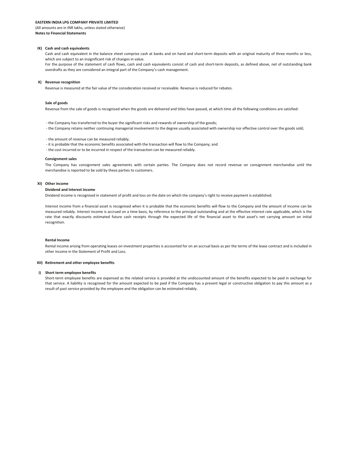(All amounts are in INR lakhs, unless stated otherwise) Notes to Financial Statements

#### IX) Cash and cash equivalents

Cash and cash equivalent in the balance sheet comprise cash at banks and on hand and short-term deposits with an original maturity of three months or less, which are subject to an insignificant risk of changes in value.

For the purpose of the statement of cash flows, cash and cash equivalents consist of cash and short-term deposits, as defined above, net of outstanding bank overdrafts as they are considered an integral part of the Company's cash management.

#### X) Revenue recognition

Revenue is measured at the fair value of the consideration received or receivable. Revenue is reduced for rebates.

#### Sale of goods

Revenue from the sale of goods is recognised when the goods are delivered and titles have passed, at which time all the following conditions are satisfied:

- the Company has transferred to the buyer the significant risks and rewards of ownership of the goods;
- the Company retains neither continuing managerial involvement to the degree usually associated with ownership nor effective control over the goods sold;
- the amount of revenue can be measured reliably;
- it is probable that the economic benefits associated with the transaction will flow to the Company; and
- the cost incurred or to be incurred in respect of the transaction can be measured reliably.

#### Consignment sales

The Company has consignment sales agreements with certain parties. The Company does not record revenue on consignment merchandise until the merchandise is reported to be sold by these parties to customers.

#### XI) Other income

#### Dividend and Interest income

Dividend income is recognised in statement of profit and loss on the date on which the company's right to receive payment is established.

Interest income from a financial asset is recognised when it is probable that the economic benefits will flow to the Company and the amount of income can be measured reliably. Interest income is accrued on a time basis, by reference to the principal outstanding and at the effective interest rate applicable, which is the rate that exactly discounts estimated future cash receipts through the expected life of the financial asset to that asset's net carrying amount on initial recognition.

#### Rental Income

Rental income arising from operating leases on investment properties is accounted for on an accrual basis as per the terms of the lease contract and is included in other income in the Statement of Profit and Loss.

#### XII) Retirement and other employee benefits

#### i) Short term employee benefits

Short-term employee benefits are expensed as the related service is provided at the undiscounted amount of the benefits expected to be paid in exchange for that service. A liability is recognised for the amount expected to be paid if the Company has a present legal or constructive obligation to pay this amount as a result of past service provided by the employee and the obligation can be estimated reliably.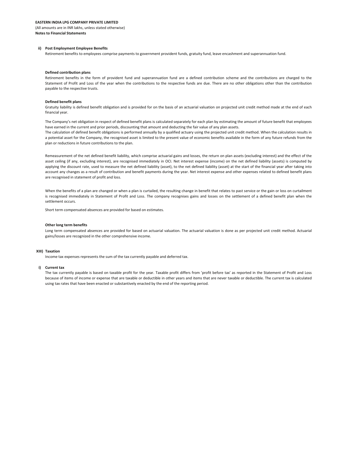(All amounts are in INR lakhs, unless stated otherwise) Notes to Financial Statements

#### ii) Post Employment Employee Benefits

Retirement benefits to employees comprise payments to government provident funds, gratuity fund, leave encashment and superannuation fund.

#### Defined contribution plans

Retirement benefits in the form of provident fund and superannuation fund are a defined contribution scheme and the contributions are charged to the Statement of Profit and Loss of the year when the contributions to the respective funds are due. There are no other obligations other than the contribution payable to the respective trusts.

#### Defined benefit plans

Gratuity liability is defined benefit obligation and is provided for on the basis of an actuarial valuation on projected unit credit method made at the end of each financial year.

The Company's net obligation in respect of defined benefit plans is calculated separately for each plan by estimating the amount of future benefit that employees have earned in the current and prior periods, discounting that amount and deducting the fair value of any plan assets. The calculation of defined benefit obligations is performed annually by a qualified actuary using the projected unit credit method. When the calculation results in a potential asset for the Company, the recognised asset is limited to the present value of economic benefits available in the form of any future refunds from the plan or reductions in future contributions to the plan.

Remeasurement of the net defined benefit liability, which comprise actuarial gains and losses, the return on plan assets (excluding interest) and the effect of the asset ceiling (if any, excluding interest), are recognised immediately in OCI. Net interest expense (income) on the net defined liability (assets) is computed by applying the discount rate, used to measure the net defined liability (asset), to the net defined liability (asset) at the start of the financial year after taking into account any changes as a result of contribution and benefit payments during the year. Net interest expense and other expenses related to defined benefit plans are recognised in statement of profit and loss.

When the benefits of a plan are changed or when a plan is curtailed, the resulting change in benefit that relates to past service or the gain or loss on curtailment is recognised immediately in Statement of Profit and Loss. The company recognises gains and losses on the settlement of a defined benefit plan when the settlement occurs.

Short term compensated absences are provided for based on estimates.

#### Other long term benefits

Long term compensated absences are provided for based on actuarial valuation. The actuarial valuation is done as per projected unit credit method. Actuarial gains/losses are recognized in the other comprehensive income.

#### XIII) Taxation

Income tax expenses represents the sum of the tax currently payable and deferred tax.

#### i) Current tax

The tax currently payable is based on taxable profit for the year. Taxable profit differs from 'profit before tax' as reported in the Statement of Profit and Loss because of items of income or expense that are taxable or deductible in other years and items that are never taxable or deductible. The current tax is calculated using tax rates that have been enacted or substantively enacted by the end of the reporting period.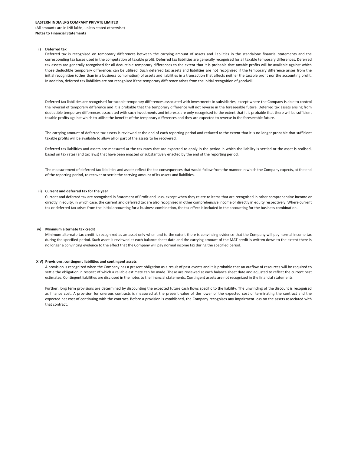(All amounts are in INR lakhs, unless stated otherwise) Notes to Financial Statements

#### ii) Deferred tax

Deferred tax is recognised on temporary differences between the carrying amount of assets and liabilities in the standalone financial statements and the corresponding tax bases used in the computation of taxable profit. Deferred tax liabilities are generally recognised for all taxable temporary differences. Deferred tax assets are generally recognised for all deductible temporary differences to the extent that it is probable that taxable profits will be available against which those deductible temporary differences can be utilised. Such deferred tax assets and liabilities are not recognised if the temporary difference arises from the initial recognition (other than in a business combination) of assets and liabilities in a transaction that affects neither the taxable profit nor the accounting profit. In addition, deferred tax liabilities are not recognised if the temporary difference arises from the initial recognition of goodwill.

Deferred tax liabilities are recognised for taxable temporary differences associated with investments in subsidiaries, except where the Company is able to control the reversal of temporary difference and it is probable that the temporary difference will not reverse in the foreseeable future. Deferred tax assets arising from deductible temporary differences associated with such investments and interests are only recognised to the extent that it is probable that there will be sufficient taxable profits against which to utilise the benefits of the temporary differences and they are expected to reverse in the foreseeable future.

The carrying amount of deferred tax assets is reviewed at the end of each reporting period and reduced to the extent that it is no longer probable that sufficient taxable profits will be available to allow all or part of the assets to be recovered.

Deferred tax liabilities and assets are measured at the tax rates that are expected to apply in the period in which the liability is settled or the asset is realised, based on tax rates (and tax laws) that have been enacted or substantively enacted by the end of the reporting period.

The measurement of deferred tax liabilities and assets reflect the tax consequences that would follow from the manner in which the Company expects, at the end of the reporting period, to recover or settle the carrying amount of its assets and liabilities.

#### iii) Current and deferred tax for the year

Current and deferred tax are recognised in Statement of Profit and Loss, except when they relate to items that are recognised in other comprehensive income or directly in equity, in which case, the current and deferred tax are also recognised in other comprehensive income or directly in equity respectively. Where current tax or deferred tax arises from the initial accounting for a business combination, the tax effect is included in the accounting for the business combination.

#### iv) Minimum alternate tax credit

Minimum alternate tax credit is recognized as an asset only when and to the extent there is convincing evidence that the Company will pay normal income tax during the specified period. Such asset is reviewed at each balance sheet date and the carrying amount of the MAT credit is written down to the extent there is no longer a convincing evidence to the effect that the Company will pay normal income tax during the specified period.

#### XIV) Provisions, contingent liabilities and contingent assets

A provision is recognized when the Company has a present obligation as a result of past events and it is probable that an outflow of resources will be required to settle the obligation in respect of which a reliable estimate can be made. These are reviewed at each balance sheet date and adjusted to reflect the current best estimates. Contingent liabilities are disclosed in the notes to the financial statements. Contingent assets are not recognized in the financial statements

Further, long term provisions are determined by discounting the expected future cash flows specific to the liability. The unwinding of the discount is recognised as finance cost. A provision for onerous contracts is measured at the present value of the lower of the expected cost of terminating the contract and the expected net cost of continuing with the contract. Before a provision is established, the Company recognises any impairment loss on the assets associated with that contract.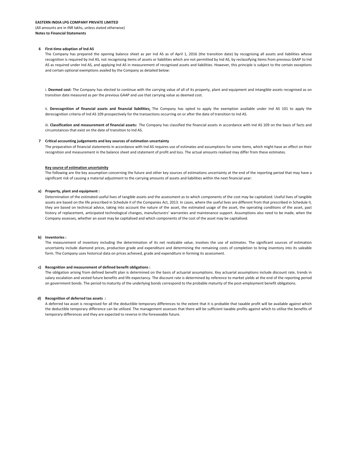(All amounts are in INR lakhs, unless stated otherwise) Notes to Financial Statements

#### 6 First-time adoption of Ind AS

The Company has prepared the opening balance sheet as per Ind AS as of April 1, 2016 (the transition date) by recognising all assets and liabilities whose recognition is required by Ind AS, not recognising items of assets or liabilities which are not permitted by Ind AS, by reclassifying items from previous GAAP to Ind AS as required under Ind AS, and applying Ind AS in measurement of recognised assets and liabilities. However, this principle is subject to the certain exceptions and certain optional exemptions availed by the Company as detailed below:

i. Deemed cost: The Company has elected to continue with the carrying value of all of its property, plant and equipment and intangible assets recognised as on transition date measured as per the previous GAAP and use that carrying value as deemed cost.

ii. Derecognition of financial assets and financial liabilities: The Company has opted to apply the exemption available under Ind AS 101 to apply the derecognition criteria of Ind AS 109 prospectively for the transactions occurring on or after the date of transition to Ind AS.

iii. Classification and measurement of financial assets: The Company has classified the financial assets in accordance with Ind AS 109 on the basis of facts and circumstances that exist on the date of transition to Ind AS.

#### 7 Critical accounting judgements and key sources of estimation uncertainty

The preparation of financial statements in accordance with Ind AS requires use of estimates and assumptions for some items, which might have an effect on their recognition and measurement in the balance sheet and statement of profit and loss. The actual amounts realised may differ from these estimates.

#### Key source of estimation uncertainity

The following are the key assumption concerning the future and other key sources of estimations uncertainty at the end of the reporting period that may have a significant risk of causing a material adjustment to the carrying amounts of assets and liabilities within the next financial year:

#### a) Property, plant and equipment :

Determination of the estimated useful lives of tangible assets and the assessment as to which components of the cost may be capitalized. Useful lives of tangible assets are based on the life prescribed in Schedule II of the Companies Act, 2013. In cases, where the useful lives are different from that prescribed in Schedule II, they are based on technical advice, taking into account the nature of the asset, the estimated usage of the asset, the operating conditions of the asset, past history of replacement, anticipated technological changes, manufacturers' warranties and maintenance support. Assumptions also need to be made, when the Company assesses, whether an asset may be capitalised and which components of the cost of the asset may be capitalised.

#### b) Inventories :

The measurement of inventory including the determination of its net realizable value, involves the use of estimates. The significant sources of estimation uncertainty include diamond prices, production grade and expenditure and determining the remaining costs of completion to bring inventory into its saleable form. The Company uses historical data on prices achieved, grade and expenditure in forming its assessment.

#### c) Recognition and measurement of defined benefit obligations :

The obligation arising from defined benefit plan is determined on the basis of actuarial assumptions. Key actuarial assumptions include discount rate, trends in salary escalation and vested future benefits and life expectancy. The discount rate is determined by reference to market yields at the end of the reporting period on government bonds. The period to maturity of the underlying bonds correspond to the probable maturity of the post-employment benefit obligations.

#### d) Recognition of deferred tax assets :

A deferred tax asset is recognised for all the deductible temporary differences to the extent that it is probable that taxable profit will be available against which the deductible temporary difference can be utilised. The management assesses that there will be sufficient taxable profits against which to utilise the benefits of temporary differences and they are expected to reverse in the foreseeable future.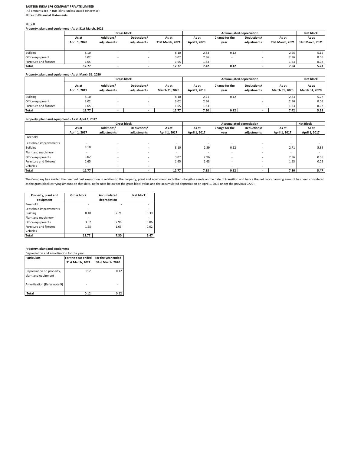(All amounts are in INR lakhs, unless stated otherwise) Notes to Financial Statements

#### Note 8

Property, plant and equipment - As at 31st March, 2021

|                        |               |             | <b>Gross block</b> |                  | <b>Accumulated depreciation</b> |                |             |                  | <b>Net block</b> |
|------------------------|---------------|-------------|--------------------|------------------|---------------------------------|----------------|-------------|------------------|------------------|
|                        | As at         | Additions/  | Deductions/        | As at            | As at                           | Charge for the | Deductions/ | As at            | As at            |
|                        | April 1, 2020 | adiustments | adjustments        | 31st March. 2021 | April 1, 2020                   | year           | adiustments | 31st March. 2021 | 31st March, 2021 |
|                        |               |             |                    |                  |                                 |                |             |                  |                  |
| Building               | 8.10          |             |                    | 8.10             | 2.83                            | 0.12           |             | 2.95             | 5.15             |
| Office equipment       | 3.02          |             |                    | 3.02             | 2.96                            |                |             | 2.96             | 0.06             |
| Furniture and fixtures | 1.65          |             |                    | 1.65             | 1.63                            |                |             | 1.63             | 0.02             |
| Total                  | 12.77         |             |                    | 12.77            | 7.42                            | 0.12           |             | 7.54             | 5.23             |

### Property, plant and equipment - As at March 31, 2020

|                        |                        |                           | <b>Gross block</b>         |                         |                        | <b>Accumulated depreciation</b> |                            |                         |                         |
|------------------------|------------------------|---------------------------|----------------------------|-------------------------|------------------------|---------------------------------|----------------------------|-------------------------|-------------------------|
|                        | As at<br>April 1, 2019 | Additions/<br>adiustments | Deductions/<br>adjustments | As at<br>March 31, 2020 | As at<br>April 1, 2019 | Charge for the<br>year          | Deductions/<br>adiustments | As at<br>March 31, 2020 | As at<br>March 31, 2020 |
| <b>Building</b>        | 8.10                   |                           |                            | 8.10                    | 2.71                   | 0.12                            |                            | 2.83                    | 5.27                    |
| Office equipment       | 3.02                   |                           |                            | 3.02                    | 2.96                   |                                 |                            | 2.96                    | 0.06                    |
| Furniture and fixtures | 1.65                   |                           |                            | 1.65                    | 1.63                   |                                 |                            | 1.63                    | 0.02                    |
| Total                  | 12.77                  |                           |                            | 12.77                   | 7.30                   | 0.12                            |                            | 7.42                    | 5.35                    |

### Property, plant and equipment - As at April 1, 2017

|                        |               |             |             | <b>Accumulated depreciation</b> |               | <b>Net Block</b> |                          |               |               |
|------------------------|---------------|-------------|-------------|---------------------------------|---------------|------------------|--------------------------|---------------|---------------|
|                        | As at         | Additions/  | Deductions/ | As at                           | As at         | Charge for the   | Deductions/              | As at         | As at         |
|                        | April 1, 2017 | adjustments | adjustments | April 1, 2017                   | April 1, 2017 | year             | adjustments              | April 1, 2017 | April 1, 2017 |
| Freehold               |               |             |             |                                 |               |                  |                          |               |               |
| Leasehold improvements |               |             |             |                                 |               | . .              |                          |               |               |
| Building               | 8.10          |             |             | 8.10                            | 2.59          | 0.12             |                          | 2.71          | 5.39          |
| Plant and machinery    |               |             |             |                                 |               | . .              |                          |               |               |
| Office equipments      | 3.02          |             |             | 3.02                            | 2.96          | <b>1999</b>      |                          | 2.96          | 0.06          |
| Furniture and fixtures | 1.65          |             |             | 1.65                            | 1.63          | -                |                          | 1.63          | 0.02          |
| Vehicles               |               |             |             |                                 |               |                  |                          | <b>COL</b>    |               |
| Total                  | 12.77         | $\sim$      | ۰.          | 12.77                           | 7.18          | 0.12             | $\overline{\phantom{a}}$ | 7.30          | 5.47          |

The Company has availed the deemed cost exemption in relation to the property, plant and equipment and other intangible assets on the date of transition and hence the net block carrying amount has been considered as the gross block carrying amount on that date. Refer note below for the gross block value and the accumulated depreciation on April 1, 2016 under the previous GAAP.

| Property, plant and<br>equipment | <b>Gross block</b> | Accumulated<br>depreciation | Net block |
|----------------------------------|--------------------|-----------------------------|-----------|
| Freehold                         | ٠                  |                             |           |
| Leasehold improvements           | ۰                  | ۰                           | ۰         |
| Building                         | 8.10               | 2.71                        | 5.39      |
| Plant and machinery              |                    | ۰                           | ۰         |
| Office equipments                | 3.02               | 2.96                        | 0.06      |
| Furniture and fixtures           | 1.65               | 1.63                        | 0.02      |
| Vehicles                         | ۰                  | ٠                           |           |
| Total                            | 12.77              | 7.30                        | 5.47      |

#### Property, plant and equipment

| Depreciation and amortisation for the year       |                                        |                                        |
|--------------------------------------------------|----------------------------------------|----------------------------------------|
| Particulars                                      | For the Year ended<br>31st March. 2021 | For the year ended<br>31st March. 2020 |
| Depreciation on property,<br>plant and equipment | 0.12                                   | 0.12                                   |
| Amortisation (Refer note 9)                      |                                        |                                        |
| Total                                            | 0.12                                   | 0.12                                   |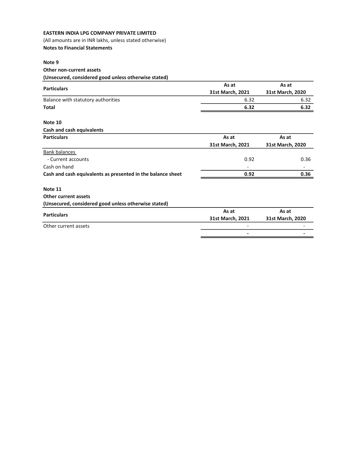(All amounts are in INR lakhs, unless stated otherwise) Notes to Financial Statements

## Note 9

## Other non-current assets

## (Unsecured, considered good unless otherwise stated)

| <b>Particulars</b>                                          | As at            | As at            |
|-------------------------------------------------------------|------------------|------------------|
|                                                             | 31st March, 2021 | 31st March, 2020 |
| Balance with statutory authorities                          | 6.32             | 6.32             |
| <b>Total</b>                                                | 6.32             | 6.32             |
| Note 10                                                     |                  |                  |
| Cash and cash equivalents                                   |                  |                  |
| <b>Particulars</b>                                          | As at            | As at            |
|                                                             | 31st March, 2021 | 31st March, 2020 |
| Bank balances                                               |                  |                  |
| - Current accounts                                          | 0.92             | 0.36             |
| Cash on hand                                                |                  |                  |
| Cash and cash equivalents as presented in the balance sheet | 0.92             | 0.36             |
| Note 11                                                     |                  |                  |
| <b>Other current assets</b>                                 |                  |                  |
| (Unsecured, considered good unless otherwise stated)        |                  |                  |
|                                                             | As at            | As at            |
| <b>Particulars</b>                                          | 31st March, 2021 | 31st March, 2020 |
| Other current assets                                        |                  |                  |
|                                                             |                  |                  |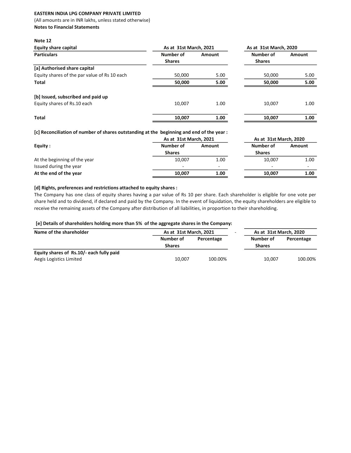(All amounts are in INR lakhs, unless stated otherwise)

Notes to Financial Statements

## Note 12

| <b>Equity share capital</b>                  | As at 31st March, 2021 |               | As at 31st March, 2020 |        |
|----------------------------------------------|------------------------|---------------|------------------------|--------|
| <b>Particulars</b>                           | Number of              | <b>Amount</b> | Number of              | Amount |
|                                              | <b>Shares</b>          |               | <b>Shares</b>          |        |
| [a] Authorised share capital                 |                        |               |                        |        |
| Equity shares of the par value of Rs 10 each | 50,000                 | 5.00          | 50,000                 | 5.00   |
| Total                                        | 50,000                 | 5.00          | 50,000                 | 5.00   |
| [b] Issued, subscribed and paid up           |                        |               |                        |        |
| Equity shares of Rs.10 each                  | 10,007                 | 1.00          | 10,007                 | 1.00   |
| Total                                        | 10,007                 | 1.00          | 10,007                 | 1.00   |

## [c] Reconciliation of number of shares outstanding at the beginning and end of the year :

|                              | As at 31st March, 2021 |               | As at 31st March, 2020 |                          |
|------------------------------|------------------------|---------------|------------------------|--------------------------|
| Equity:                      | Number of              | <b>Amount</b> | Number of              | Amount                   |
|                              | <b>Shares</b>          |               | <b>Shares</b>          |                          |
| At the beginning of the year | 10.007                 | 1.00          | 10.007                 | 1.00                     |
| Issued during the year       | $\sim$                 | -             | -                      | $\overline{\phantom{0}}$ |
| At the end of the year       | 10.007                 | 1.00          | 10.007                 | 1.00                     |

## [d] Rights, preferences and restrictions attached to equity shares :

The Company has one class of equity shares having a par value of Rs 10 per share. Each shareholder is eligible for one vote per share held and to dividend, if declared and paid by the Company. In the event of liquidation, the equity shareholders are eligible to receive the remaining assets of the Company after distribution of all liabilities, in proportion to their shareholding.

## [e] Details of shareholders holding more than 5% of the aggregate shares in the Company:

| Name of the shareholder                  |                            | As at 31st March, 2021 |  |                            |            | As at 31st March, 2020 |  |
|------------------------------------------|----------------------------|------------------------|--|----------------------------|------------|------------------------|--|
|                                          | Number of<br><b>Shares</b> | Percentage             |  | Number of<br><b>Shares</b> | Percentage |                        |  |
| Equity shares of Rs.10/- each fully paid |                            |                        |  |                            |            |                        |  |
| Aegis Logistics Limited                  | 10.007                     | 100.00%                |  | 10,007                     | 100.00%    |                        |  |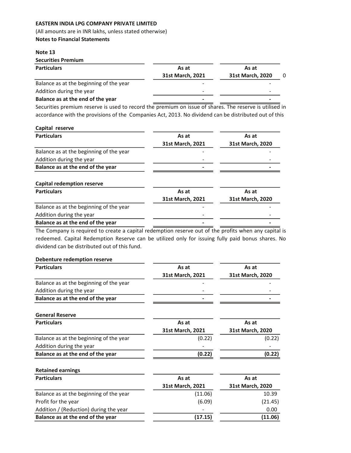(All amounts are in INR lakhs, unless stated otherwise) Notes to Financial Statements

## Note 13

| <b>Securities Premium</b>               |                  |                  |   |
|-----------------------------------------|------------------|------------------|---|
| <b>Particulars</b>                      | As at            | As at            |   |
|                                         | 31st March, 2021 | 31st March, 2020 | 0 |
| Balance as at the beginning of the year |                  |                  |   |
| Addition during the year                |                  | $\qquad \qquad$  |   |
| Balance as at the end of the year       | -                | ۰                |   |

Securities premium reserve is used to record the premium on issue of shares. The reserve is utilised in accordance with the provisions of the Companies Act, 2013. No dividend can be distributed out of this

| Capital reserve                         |                  |                  |
|-----------------------------------------|------------------|------------------|
| <b>Particulars</b>                      | As at            | As at            |
|                                         | 31st March, 2021 | 31st March, 2020 |
| Balance as at the beginning of the year |                  |                  |
| Addition during the year                |                  |                  |
| Balance as at the end of the year       |                  |                  |
|                                         |                  |                  |
| Capital redemption reserve              |                  |                  |
| <b>Particulars</b>                      | As at            | As at            |
|                                         | 31st March, 2021 | 31st March, 2020 |
| Balance as at the beginning of the year |                  |                  |
| Addition during the year                |                  |                  |
| Balance as at the end of the year       |                  |                  |

The Company is required to create a capital redemption reserve out of the profits when any capital is redeemed. Capital Redemption Reserve can be utilized only for issuing fully paid bonus shares. No dividend can be distributed out of this fund.

| Debenture redemption reserve            |                  |                  |
|-----------------------------------------|------------------|------------------|
| <b>Particulars</b>                      | As at            | As at            |
|                                         | 31st March, 2021 | 31st March, 2020 |
| Balance as at the beginning of the year |                  |                  |
| Addition during the year                |                  |                  |
| Balance as at the end of the year       |                  |                  |
| <b>General Reserve</b>                  |                  |                  |
| <b>Particulars</b>                      | As at            | As at            |
|                                         | 31st March, 2021 | 31st March, 2020 |
| Balance as at the beginning of the year | (0.22)           | (0.22)           |
| Addition during the year                |                  |                  |
| Balance as at the end of the year       | (0.22)           | (0.22)           |
| <b>Retained earnings</b>                |                  |                  |
| <b>Particulars</b>                      | As at            | As at            |
|                                         | 31st March, 2021 | 31st March, 2020 |
| Balance as at the beginning of the year | (11.06)          | 10.39            |
| Profit for the year                     | (6.09)           | (21.45)          |
| Addition / (Reduction) during the year  |                  | 0.00             |
| Balance as at the end of the year       | (17.15)          | (11.06)          |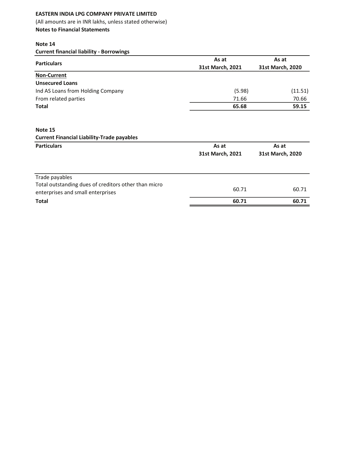(All amounts are in INR lakhs, unless stated otherwise)

Notes to Financial Statements

## Note 14

## Current financial liability - Borrowings

|                                                                                           | As at            | As at            |
|-------------------------------------------------------------------------------------------|------------------|------------------|
| <b>Particulars</b>                                                                        | 31st March, 2021 | 31st March, 2020 |
| <b>Non-Current</b>                                                                        |                  |                  |
| <b>Unsecured Loans</b>                                                                    |                  |                  |
| Ind AS Loans from Holding Company                                                         | (5.98)           | (11.51)          |
| From related parties                                                                      | 71.66            | 70.66            |
| <b>Total</b>                                                                              | 65.68            | 59.15            |
|                                                                                           |                  |                  |
| Note 15                                                                                   |                  |                  |
| <b>Current Financial Liability-Trade payables</b>                                         |                  |                  |
| <b>Particulars</b>                                                                        | As at            | As at            |
|                                                                                           | 31st March, 2021 | 31st March, 2020 |
|                                                                                           |                  |                  |
| Trade payables                                                                            |                  |                  |
| Total outstanding dues of creditors other than micro<br>enterprises and small enterprises | 60.71            | 60.71            |
| <b>Total</b>                                                                              | 60.71            | 60.71            |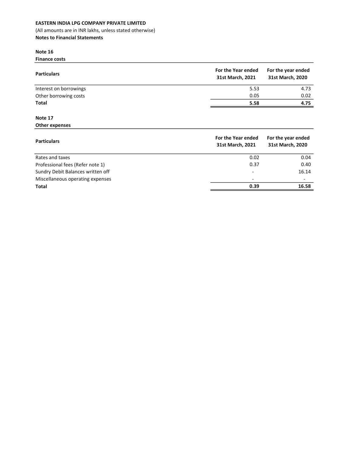(All amounts are in INR lakhs, unless stated otherwise) Notes to Financial Statements

## Note 16

Finance costs

| <b>Particulars</b>     | For the Year ended<br>31st March, 2021 | For the year ended<br>31st March, 2020 |
|------------------------|----------------------------------------|----------------------------------------|
| Interest on borrowings | 5.53                                   | 4.73                                   |
| Other borrowing costs  | 0.05                                   | 0.02                                   |
| Total                  | 5.58                                   | 4.75                                   |

## Note 17 Other expenses

| <b>Particulars</b>                | For the Year ended<br>31st March, 2021 | For the year ended<br>31st March, 2020 |
|-----------------------------------|----------------------------------------|----------------------------------------|
| Rates and taxes                   | 0.02                                   | 0.04                                   |
| Professional fees (Refer note 1)  | 0.37                                   | 0.40                                   |
| Sundry Debit Balances written off | $\overline{\phantom{a}}$               | 16.14                                  |
| Miscellaneous operating expenses  | $\overline{\phantom{a}}$               | $\overline{\phantom{0}}$               |
| Total                             | 0.39                                   | 16.58                                  |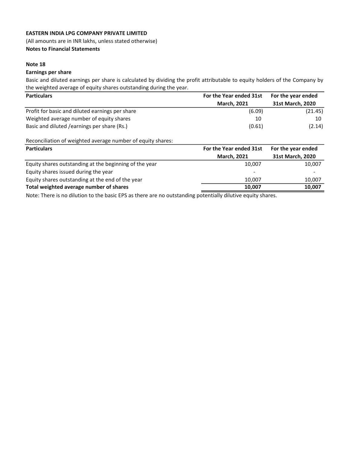(All amounts are in INR lakhs, unless stated otherwise)

## Notes to Financial Statements

## Note 18

## Earnings per share

Basic and diluted earnings per share is calculated by dividing the profit attributable to equity holders of the Company by the weighted average of equity shares outstanding during the year.

| <b>Particulars</b>                              | For the Year ended 31st | For the year ended |
|-------------------------------------------------|-------------------------|--------------------|
|                                                 | <b>March. 2021</b>      | 31st March, 2020   |
| Profit for basic and diluted earnings per share | (6.09)                  | (21.45)            |
| Weighted average number of equity shares        | 10                      | 10                 |
| Basic and diluted / earnings per share (Rs.)    | (0.61)                  | (2.14)             |

## Reconciliation of weighted average number of equity shares:

| <b>Particulars</b>                                     | For the Year ended 31st<br>For the year ended |                  |
|--------------------------------------------------------|-----------------------------------------------|------------------|
|                                                        | <b>March, 2021</b>                            | 31st March, 2020 |
| Equity shares outstanding at the beginning of the year | 10,007                                        | 10,007           |
| Equity shares issued during the year                   | $\overline{\phantom{0}}$                      |                  |
| Equity shares outstanding at the end of the year       | 10.007                                        | 10.007           |
| Total weighted average number of shares                | 10,007                                        | 10,007           |

Note: There is no dilution to the basic EPS as there are no outstanding potentially dilutive equity shares.